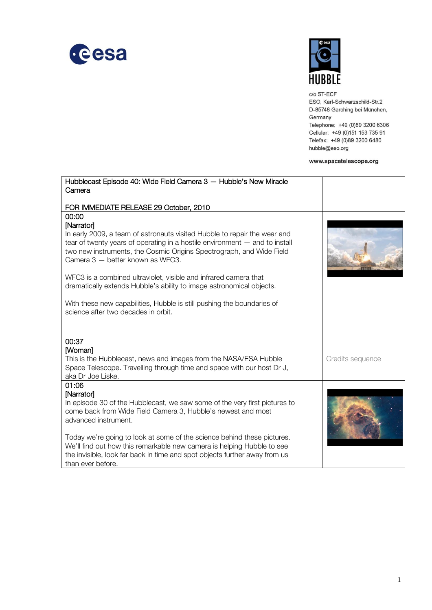



c/o ST-ECF ESO, Karl-Schwarzschild-Str.2 D-85748 Garching bei München, Germany Telephone: +49 (0)89 3200 6306 Cellular: +49 (0)151 153 735 91 Telefax: +49 (0)89 3200 6480 hubble@eso.org

## www.spacetelescope.org

| Hubblecast Episode 40: Wide Field Camera 3 - Hubble's New Miracle                                                                        |                  |
|------------------------------------------------------------------------------------------------------------------------------------------|------------------|
| Camera                                                                                                                                   |                  |
| FOR IMMEDIATE RELEASE 29 October, 2010                                                                                                   |                  |
| 00:00                                                                                                                                    |                  |
| [Narrator]<br>In early 2009, a team of astronauts visited Hubble to repair the wear and                                                  |                  |
| tear of twenty years of operating in a hostile environment $-$ and to install                                                            |                  |
| two new instruments, the Cosmic Origins Spectrograph, and Wide Field                                                                     |                  |
| Camera 3 - better known as WFC3.                                                                                                         |                  |
|                                                                                                                                          |                  |
| WFC3 is a combined ultraviolet, visible and infrared camera that<br>dramatically extends Hubble's ability to image astronomical objects. |                  |
|                                                                                                                                          |                  |
| With these new capabilities, Hubble is still pushing the boundaries of                                                                   |                  |
| science after two decades in orbit.                                                                                                      |                  |
|                                                                                                                                          |                  |
| 00:37                                                                                                                                    |                  |
| [Woman]                                                                                                                                  |                  |
| This is the Hubblecast, news and images from the NASA/ESA Hubble                                                                         | Credits sequence |
| Space Telescope. Travelling through time and space with our host Dr J,                                                                   |                  |
| aka Dr Joe Liske.                                                                                                                        |                  |
| 01:06<br>[Narrator]                                                                                                                      |                  |
| In episode 30 of the Hubblecast, we saw some of the very first pictures to                                                               |                  |
| come back from Wide Field Camera 3, Hubble's newest and most                                                                             |                  |
| advanced instrument.                                                                                                                     |                  |
| Today we're going to look at some of the science behind these pictures.                                                                  |                  |
| We'll find out how this remarkable new camera is helping Hubble to see                                                                   |                  |
| the invisible, look far back in time and spot objects further away from us                                                               |                  |
| than ever before.                                                                                                                        |                  |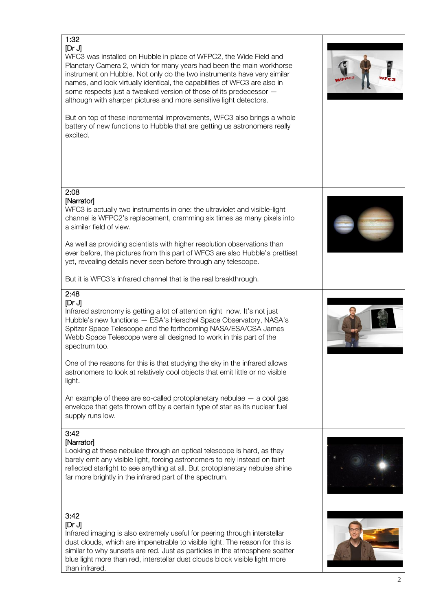| 1:32<br>[Dr J]<br>WFC3 was installed on Hubble in place of WFPC2, the Wide Field and<br>Planetary Camera 2, which for many years had been the main workhorse<br>instrument on Hubble. Not only do the two instruments have very similar<br>names, and look virtually identical, the capabilities of WFC3 are also in<br>some respects just a tweaked version of those of its predecessor -<br>although with sharper pictures and more sensitive light detectors.<br>But on top of these incremental improvements, WFC3 also brings a whole<br>battery of new functions to Hubble that are getting us astronomers really<br>excited.                                               |  |
|-----------------------------------------------------------------------------------------------------------------------------------------------------------------------------------------------------------------------------------------------------------------------------------------------------------------------------------------------------------------------------------------------------------------------------------------------------------------------------------------------------------------------------------------------------------------------------------------------------------------------------------------------------------------------------------|--|
| 2:08<br>[Narrator]<br>WFC3 is actually two instruments in one: the ultraviolet and visible-light<br>channel is WFPC2's replacement, cramming six times as many pixels into<br>a similar field of view.<br>As well as providing scientists with higher resolution observations than<br>ever before, the pictures from this part of WFC3 are also Hubble's prettiest<br>yet, revealing details never seen before through any telescope.<br>But it is WFC3's infrared channel that is the real breakthrough.                                                                                                                                                                         |  |
| 2:48<br>[Dr J]<br>Infrared astronomy is getting a lot of attention right now. It's not just<br>Hubble's new functions - ESA's Herschel Space Observatory, NASA's<br>Spitzer Space Telescope and the forthcoming NASA/ESA/CSA James<br>Webb Space Telescope were all designed to work in this part of the<br>spectrum too.<br>One of the reasons for this is that studying the sky in the infrared allows<br>astronomers to look at relatively cool objects that emit little or no visible<br>light.<br>An example of these are so-called protoplanetary nebulae $-$ a cool gas<br>envelope that gets thrown off by a certain type of star as its nuclear fuel<br>supply runs low. |  |
| 3:42<br>[Narrator]<br>Looking at these nebulae through an optical telescope is hard, as they<br>barely emit any visible light, forcing astronomers to rely instead on faint<br>reflected starlight to see anything at all. But protoplanetary nebulae shine<br>far more brightly in the infrared part of the spectrum.                                                                                                                                                                                                                                                                                                                                                            |  |
| 3:42<br>[Dr J]<br>Infrared imaging is also extremely useful for peering through interstellar<br>dust clouds, which are impenetrable to visible light. The reason for this is<br>similar to why sunsets are red. Just as particles in the atmosphere scatter<br>blue light more than red, interstellar dust clouds block visible light more<br>than infrared.                                                                                                                                                                                                                                                                                                                      |  |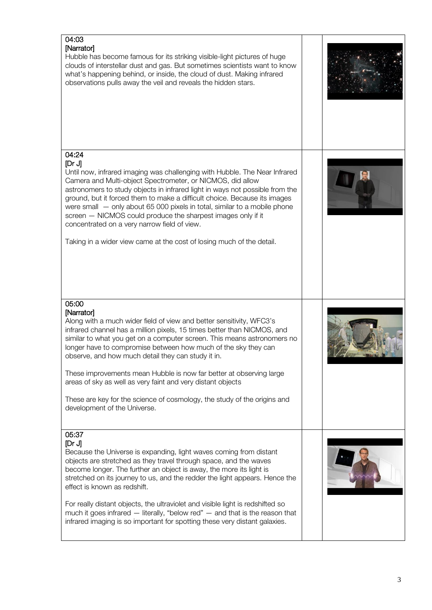| 04:03<br>[Narrator]<br>Hubble has become famous for its striking visible-light pictures of huge<br>clouds of interstellar dust and gas. But sometimes scientists want to know<br>what's happening behind, or inside, the cloud of dust. Making infrared<br>observations pulls away the veil and reveals the hidden stars.                                                                                                                                                                                                                                                                                                   |  |
|-----------------------------------------------------------------------------------------------------------------------------------------------------------------------------------------------------------------------------------------------------------------------------------------------------------------------------------------------------------------------------------------------------------------------------------------------------------------------------------------------------------------------------------------------------------------------------------------------------------------------------|--|
| 04:24<br>[Dr J]<br>Until now, infrared imaging was challenging with Hubble. The Near Infrared<br>Camera and Multi-object Spectrometer, or NICMOS, did allow<br>astronomers to study objects in infrared light in ways not possible from the<br>ground, but it forced them to make a difficult choice. Because its images<br>were small - only about 65 000 pixels in total, similar to a mobile phone<br>screen - NICMOS could produce the sharpest images only if it<br>concentrated on a very narrow field of view.<br>Taking in a wider view came at the cost of losing much of the detail.                              |  |
| 05:00<br>[Narrator]<br>Along with a much wider field of view and better sensitivity, WFC3's<br>infrared channel has a million pixels, 15 times better than NICMOS, and<br>similar to what you get on a computer screen. This means astronomers no<br>longer have to compromise between how much of the sky they can<br>observe, and how much detail they can study it in.<br>These improvements mean Hubble is now far better at observing large<br>areas of sky as well as very faint and very distant objects<br>These are key for the science of cosmology, the study of the origins and<br>development of the Universe. |  |
| 05:37<br>[Dr J]<br>Because the Universe is expanding, light waves coming from distant<br>objects are stretched as they travel through space, and the waves<br>become longer. The further an object is away, the more its light is<br>stretched on its journey to us, and the redder the light appears. Hence the<br>effect is known as redshift.<br>For really distant objects, the ultraviolet and visible light is redshifted so<br>much it goes infrared - literally, "below red" - and that is the reason that<br>infrared imaging is so important for spotting these very distant galaxies.                            |  |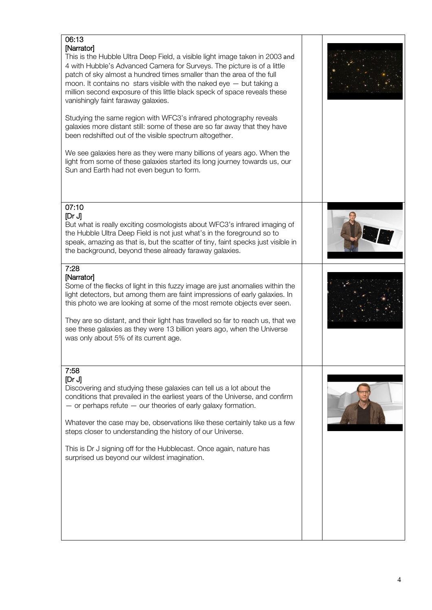| 06:13<br>[Narrator]<br>This is the Hubble Ultra Deep Field, a visible light image taken in 2003 and<br>4 with Hubble's Advanced Camera for Surveys. The picture is of a little<br>patch of sky almost a hundred times smaller than the area of the full<br>moon. It contains no stars visible with the naked eye $-$ but taking a<br>million second exposure of this little black speck of space reveals these<br>vanishingly faint faraway galaxies.<br>Studying the same region with WFC3's infrared photography reveals<br>galaxies more distant still: some of these are so far away that they have<br>been redshifted out of the visible spectrum altogether.<br>We see galaxies here as they were many billions of years ago. When the<br>light from some of these galaxies started its long journey towards us, our<br>Sun and Earth had not even begun to form. |  |
|-------------------------------------------------------------------------------------------------------------------------------------------------------------------------------------------------------------------------------------------------------------------------------------------------------------------------------------------------------------------------------------------------------------------------------------------------------------------------------------------------------------------------------------------------------------------------------------------------------------------------------------------------------------------------------------------------------------------------------------------------------------------------------------------------------------------------------------------------------------------------|--|
| 07:10<br>[Dr J]<br>But what is really exciting cosmologists about WFC3's infrared imaging of<br>the Hubble Ultra Deep Field is not just what's in the foreground so to<br>speak, amazing as that is, but the scatter of tiny, faint specks just visible in<br>the background, beyond these already faraway galaxies.                                                                                                                                                                                                                                                                                                                                                                                                                                                                                                                                                    |  |
| 7:28<br>[Narrator]<br>Some of the flecks of light in this fuzzy image are just anomalies within the<br>light detectors, but among them are faint impressions of early galaxies. In<br>this photo we are looking at some of the most remote objects ever seen.<br>They are so distant, and their light has travelled so far to reach us, that we<br>see these galaxies as they were 13 billion years ago, when the Universe<br>was only about 5% of its current age.                                                                                                                                                                                                                                                                                                                                                                                                     |  |
| 7:58<br>[Dr J]<br>Discovering and studying these galaxies can tell us a lot about the<br>conditions that prevailed in the earliest years of the Universe, and confirm<br>$-$ or perhaps refute $-$ our theories of early galaxy formation.<br>Whatever the case may be, observations like these certainly take us a few<br>steps closer to understanding the history of our Universe.<br>This is Dr J signing off for the Hubblecast. Once again, nature has<br>surprised us beyond our wildest imagination.                                                                                                                                                                                                                                                                                                                                                            |  |